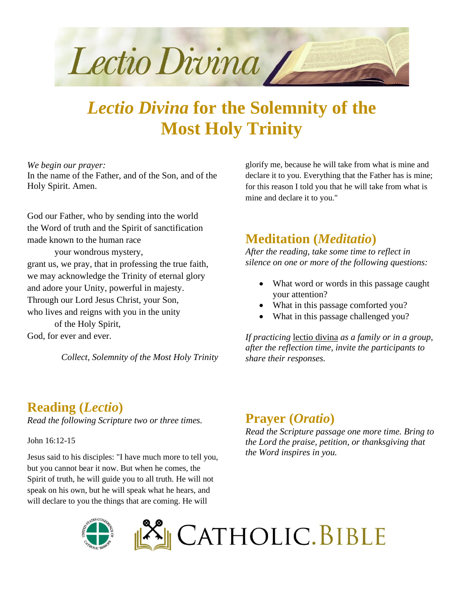

# *Lectio Divina* **for the Solemnity of the Most Holy Trinity**

*We begin our prayer:*

In the name of the Father, and of the Son, and of the Holy Spirit. Amen.

God our Father, who by sending into the world the Word of truth and the Spirit of sanctification made known to the human race

your wondrous mystery, grant us, we pray, that in professing the true faith, we may acknowledge the Trinity of eternal glory and adore your Unity, powerful in majesty. Through our Lord Jesus Christ, your Son, who lives and reigns with you in the unity of the Holy Spirit, God, for ever and ever.

*Collect, Solemnity of the Most Holy Trinity*

glorify me, because he will take from what is mine and declare it to you. Everything that the Father has is mine; for this reason I told you that he will take from what is mine and declare it to you."

## **Meditation (***Meditatio***)**

*After the reading, take some time to reflect in silence on one or more of the following questions:*

- What word or words in this passage caught your attention?
- What in this passage comforted you?
- What in this passage challenged you?

*If practicing* lectio divina *as a family or in a group, after the reflection time, invite the participants to share their responses.*

### **Reading (***Lectio***)**

*Read the following Scripture two or three times.*

John 16:12-15

Jesus said to his disciples: "I have much more to tell you, but you cannot bear it now. But when he comes, the Spirit of truth, he will guide you to all truth. He will not speak on his own, but he will speak what he hears, and will declare to you the things that are coming. He will

## **Prayer (***Oratio***)**

*Read the Scripture passage one more time. Bring to the Lord the praise, petition, or thanksgiving that the Word inspires in you.*